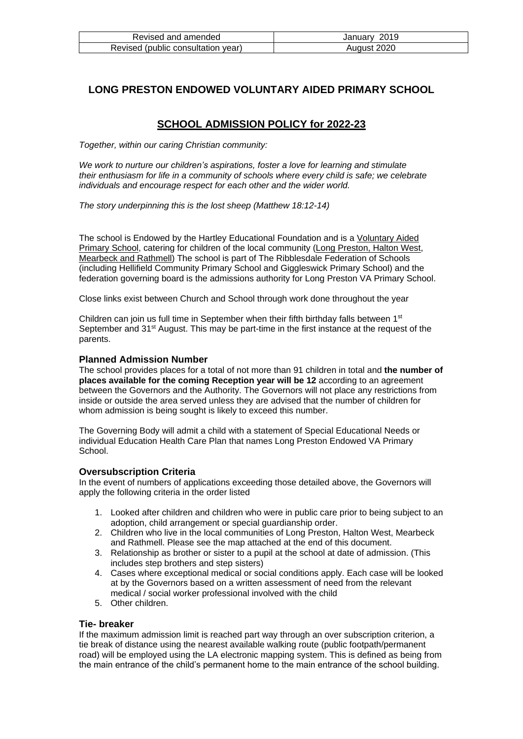| Revised and amended                | January 2019 |
|------------------------------------|--------------|
| Revised (public consultation year) | August 2020  |

# **LONG PRESTON ENDOWED VOLUNTARY AIDED PRIMARY SCHOOL**

# **SCHOOL ADMISSION POLICY for 2022-23**

*Together, within our caring Christian community:*

*We work to nurture our children's aspirations, foster a love for learning and stimulate their enthusiasm for life in a community of schools where every child is safe; we celebrate individuals and encourage respect for each other and the wider world.*

*The story underpinning this is the lost sheep (Matthew 18:12-14)*

The school is Endowed by the Hartley Educational Foundation and is a Voluntary Aided Primary School, catering for children of the local community (Long Preston, Halton West, Mearbeck and Rathmell) The school is part of The Ribblesdale Federation of Schools (including Hellifield Community Primary School and Giggleswick Primary School) and the federation governing board is the admissions authority for Long Preston VA Primary School.

Close links exist between Church and School through work done throughout the year

Children can join us full time in September when their fifth birthday falls between 1<sup>st</sup> September and  $31<sup>st</sup>$  August. This may be part-time in the first instance at the request of the parents.

## **Planned Admission Number**

The school provides places for a total of not more than 91 children in total and **the number of places available for the coming Reception year will be 12** according to an agreement between the Governors and the Authority. The Governors will not place any restrictions from inside or outside the area served unless they are advised that the number of children for whom admission is being sought is likely to exceed this number.

The Governing Body will admit a child with a statement of Special Educational Needs or individual Education Health Care Plan that names Long Preston Endowed VA Primary **School**.

# **Oversubscription Criteria**

In the event of numbers of applications exceeding those detailed above, the Governors will apply the following criteria in the order listed

- 1. Looked after children and children who were in public care prior to being subject to an adoption, child arrangement or special guardianship order.
- 2. Children who live in the local communities of Long Preston, Halton West, Mearbeck and Rathmell. Please see the map attached at the end of this document.
- 3. Relationship as brother or sister to a pupil at the school at date of admission. (This includes step brothers and step sisters)
- 4. Cases where exceptional medical or social conditions apply. Each case will be looked at by the Governors based on a written assessment of need from the relevant medical / social worker professional involved with the child
- 5. Other children.

#### **Tie- breaker**

If the maximum admission limit is reached part way through an over subscription criterion, a tie break of distance using the nearest available walking route (public footpath/permanent road) will be employed using the LA electronic mapping system. This is defined as being from the main entrance of the child's permanent home to the main entrance of the school building.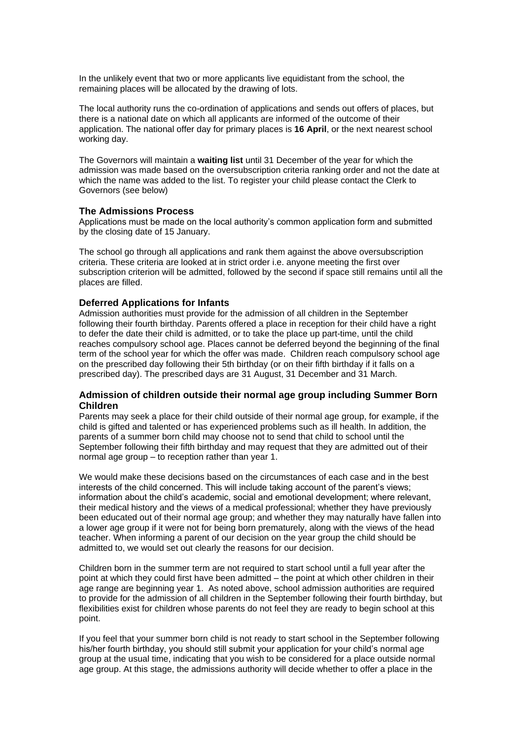In the unlikely event that two or more applicants live equidistant from the school, the remaining places will be allocated by the drawing of lots.

The local authority runs the co-ordination of applications and sends out offers of places, but there is a national date on which all applicants are informed of the outcome of their application. The national offer day for primary places is **16 April**, or the next nearest school working day.

The Governors will maintain a **waiting list** until 31 December of the year for which the admission was made based on the oversubscription criteria ranking order and not the date at which the name was added to the list. To register your child please contact the Clerk to Governors (see below)

#### **The Admissions Process**

Applications must be made on the local authority's common application form and submitted by the closing date of 15 January.

The school go through all applications and rank them against the above oversubscription criteria. These criteria are looked at in strict order i.e. anyone meeting the first over subscription criterion will be admitted, followed by the second if space still remains until all the places are filled.

## **Deferred Applications for Infants**

Admission authorities must provide for the admission of all children in the September following their fourth birthday. Parents offered a place in reception for their child have a right to defer the date their child is admitted, or to take the place up part-time, until the child reaches compulsory school age. Places cannot be deferred beyond the beginning of the final term of the school year for which the offer was made. Children reach compulsory school age on the prescribed day following their 5th birthday (or on their fifth birthday if it falls on a prescribed day). The prescribed days are 31 August, 31 December and 31 March.

## **Admission of children outside their normal age group including Summer Born Children**

Parents may seek a place for their child outside of their normal age group, for example, if the child is gifted and talented or has experienced problems such as ill health. In addition, the parents of a summer born child may choose not to send that child to school until the September following their fifth birthday and may request that they are admitted out of their normal age group – to reception rather than year 1.

We would make these decisions based on the circumstances of each case and in the best interests of the child concerned. This will include taking account of the parent's views; information about the child's academic, social and emotional development; where relevant, their medical history and the views of a medical professional; whether they have previously been educated out of their normal age group; and whether they may naturally have fallen into a lower age group if it were not for being born prematurely, along with the views of the head teacher. When informing a parent of our decision on the year group the child should be admitted to, we would set out clearly the reasons for our decision.

Children born in the summer term are not required to start school until a full year after the point at which they could first have been admitted – the point at which other children in their age range are beginning year 1. As noted above, school admission authorities are required to provide for the admission of all children in the September following their fourth birthday, but flexibilities exist for children whose parents do not feel they are ready to begin school at this point.

If you feel that your summer born child is not ready to start school in the September following his/her fourth birthday, you should still submit your application for your child's normal age group at the usual time, indicating that you wish to be considered for a place outside normal age group. At this stage, the admissions authority will decide whether to offer a place in the